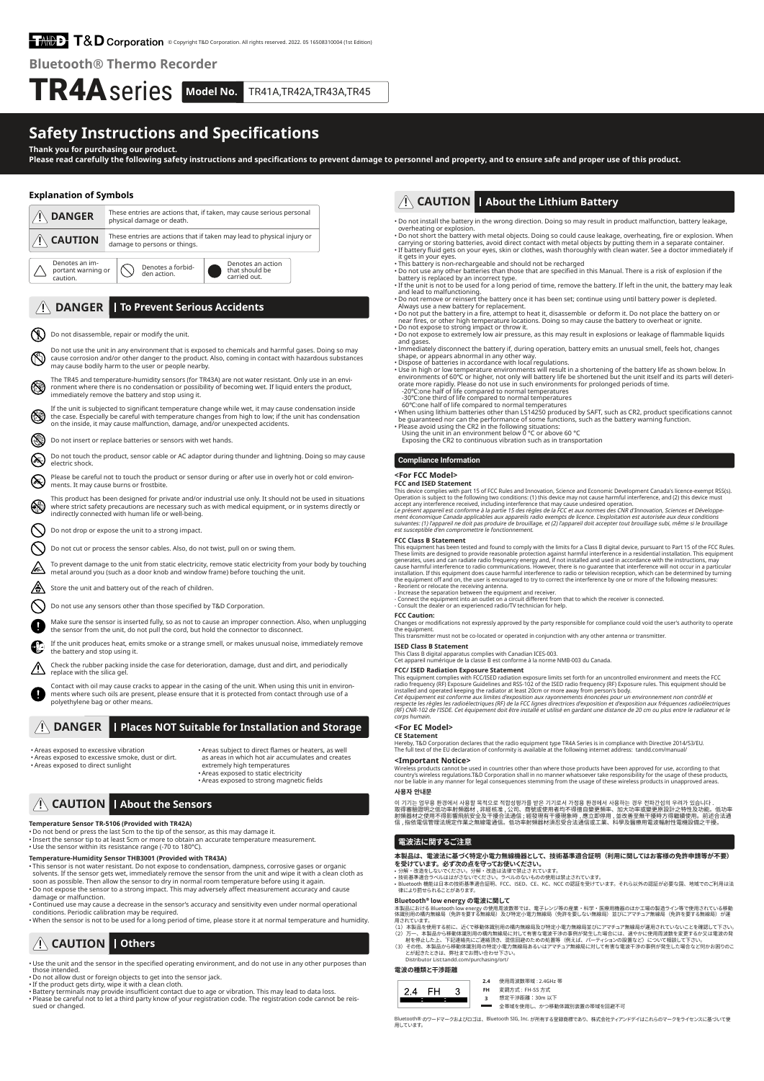# EMMPEL T&D Corporation © Copyright T&D Corporation. All rights reserved. 2022. 05 16508310004 (1st Editi

**Rluetooth<sup>®</sup> Thermo Recorder** 

# TR4A series Model No. TR41A,TR42A,TR43A,TR45

# **Safety Instructions and Specifications**

**Thank you for purchasing our product.** Please read carefully the following safety instructions and specifications to prevent damage to personnel and property, and to ensure safe and proper use of this product.

### **Explanation of Symbols**



Contact with oil may cause cracks to appear in the casing of the unit. When using this unit in environ-<br>ments where such oils are present, please ensure that it is protected from contact through use of a Q polyethylene bag or other means.

# **Starfanger And Installation and Storage And Installation and Storage**

• Areas exposed to excessive vibration . Areas exposed to excessive smoke, dust or dirt • Areas exposed to direct sunlight

• Areas subject to direct flames or heaters, as well as areas in which hot air accumulates and creates extremely high temperatures<br>• Areas exposed to static electricity<br>• Areas exposed to strong magnetic fields

# $\hat{A}$  **CAUTION** | About the Sensors

**Temperature Sensor TR-5106 (Provided with TR42A)**<br>• Do not bend or press the last 5cm to the tip of the sensor, as this may damage it.<br>• Insert the sensor tip to at least 5cm or more to obtain an accurate temperature meas • Use the sensor within its resistance range (-70 to 180°C).

Temperature-Humidity Sensor THB3001 (Provided with TR43A)

- organic or gases corrosive or gas corrosive , and the matter or the sensor or gases or determiness .<br>• This sensor is not water resistant. Do not expose to condensation, dampness, corrosive gases or organic solvents. If the sensor gets wet, immediately remove the sensor from the unit and wipe it with a clean cloth as<br>soon as possible. Then allow the sensor to dry in normal room temperature before using it again.<br>• Do not expo
- 
- . When the sensor is not to be used for a long period of time, please store it at normal temperature and humidity

# **Auxilian** CAUTION | Others

• Use the unit and the sensor in the specified operating environment, and do not use in any other purposes than those intended.

• Do not allow dust or foreign objects to get into the sensor jack.<br>• If the product gets dirty, wipe it with a clean cloth.

• Battery terminals may provide insufficient contact due to age or vibration. This may lead to data loss.<br>• Please be careful not to let a third party know of your registration code. The registration code cannot be reis-<br>·

# **A CAUTION** | About the Lithium Battery

. Do not install the battery in the wrong direction. Doing so may result in product malfunction, battery leakage overheating or explosion.<br>• Do not short the battery with metal objects. Doing so could cause leakage, overheating, fire or explosion. When

- carrying or storing batteries, avoid direct contact with metal objects by putting them in a separate container.<br>If battery fluid gets on your eyes, skin or clothes, wash thoroughly with clean water. See a doctor immediatel it gets in your eyes.
- This battery is non-rechargeable and should not be recharged<br>• Do not use any other batteries than those that are specified in this Manual. There is a risk of explosion if the<br>• battery is replaced by an incorrect type.
- leakery to replace a by an incorrect cype.<br>• If the unit is not to be used for a long period of time, remove the battery. If left in the unit, the battery may leak
- 
- 
- 
- 
- and lead to malfunctioning.<br>
and had to malfunctioning the battery once it has been set; continue using until battery power is depleted.<br>
Always use a new battery for replacement.<br>
Always use a new battery for replacement.
- -20℃:one half of life compared to normal temperatures
- The filther applay. Please do not use in such environment<br>-20℃:one half of life compared to normal temperatures<br>-30℃:one third of life compared to normal temperatures<br>60℃:one half of life compared to normal temperatures

60°C:one half of life compared to normal temperatures<br>  $\cdot$  When using lithium batteries other than LS14250 producted by SAFT, such as CR2, product specifications cannot<br>
be guaranteed nor can the performance of some func

- 
- 

### **Compliance Information**

### <For FCC Model>

### **FCC and ISED Statement**

This device complies with part 15 of FCC Rules and Innovation, Science and Economic Development Canada's licence-exempt RSS(s).<br>Operation is subject to the following two conditions: (1) this device may not cause harmful in

suivantes: (1) l'appareil ne doit pas produire de brouillage, et (2) l'appareil doit accepter tout brouillage subi, même si le brouillage<br>est susceptible d'en compromettre le fonctionnement.

FCC Class B Statement<br>This equipment has been tested and found to comply with the limits for a Class B digital device, pursuant to Part 15 of the FCC Rules.<br>This equipment has been tested and found to comply with the limit

- Connect the equipment into an outlet on a circuit different from that to which the receiver is connected.<br>- Consult the dealer or an experienced radio/TV technician for help.

**FCC Caution:**<br>Changes or modifications not expressly approved by the party responsible for compliance could void the user's authority to operate<br>the equipment.<br>This transmitter must not be co-located or operated in conjun

### **ISED Class B Statement**

This Class B digital apparatus complies with Canadian ICES-003.<br>Cet appareil numérique de la classe B est conforme à la norme NMB-003 du Canada.

**FCC/ ISED Radiation Exposure Statement** 

This equipment complies with FCC/ISED radiation exposure limits set forth for an uncontrolled environment and meets the FCC<br>radiation frequency (RF) Exposure Guidelines and RSS-102 of the ISED radio frequency (RF) Exposure

# <For EC Model>

**CE Statement**<br>Hereby, T&D Corporation declares that the radio equipment type TR4A Series is in compliance with Directive 2014/53/EU<br>The full text of the EU declaration of conformity is available at the following internet

# <Important Notice>

Wireless products cannot be used in countries other than where those products have been approved for use, according to that<br>country's wireless regulations.T&D Corporation shall in no manner whatsoever take responsibility f

### **안내문 사용자**

이 기기는 업무용 완경에서 사용할 복식으로 석압정량기를 만은 기기도서 가정용 완경에서 사용하는 경우 선파간업의 우리가 있습니다 .<br>取得審驗證明之低功率射頻器材 , 非經核准 , 公司、商號或使用者均不得擅自變更頻率 。加大功率或變更原設計之特性及功能。低功率<br>自 , 指依電信管理法規定作業之無線電通信。低功率射頻器材須忍受合法通信或工業、科學及醫療用電波輻射性電機設備之干擾。<br>信 , 指依電信管理法規定作業之無線電通信。

## **電波法に関するご注意**

-<br>本製品は、電波法に基づく特定小電力無線機器として、技術基準適合証明(利用に関してはお客様の免許申請等が不要) **平我ロけ、 电波広に垂つく行走小電刀無稼機器として、技<br>を受けています。必ず次の点を守ってお使いください。**<br>・分解・改造をしないでください。分解・改造は法律で禁止されています。<br>・技術基準適合ラベルははがさないでください。ラベルのないものの使用に

・分解・改造をしないでくだい。 分解・改造は法律で発止されています。<br>• 技術基準適合ラベルははがさないでください。ラベルのないものの使用は禁止されています。<br>• Bluetooth 機能は日本の技術基準適合証明、FCC、ISED、CE、KC、NCC の認証を受けています。それら以外の認証が必要な国、地域でのご利用は法<br>• 律により罰せられることがあります。

### **Bluetooth<sup>®</sup> low energy の電波に関して**

本製品における Bluetooth low energy の使用周波数帯では、電子レンジ等の産業・科学・医療用機器のはか工場の製造ライン等で使用されている移動<br>体識別用の構内無線局(免許を要する無線局)及び特定小電力無線局(免許を要しない無線局)並びにアマチュア無線局(免許を要する無線局)が運

- 
- 用されています。<br>(1)本製品を使用する前に、近くで移動体識別用の構内無線局及び特定小電力無線局並びにアマチュア無線局が運用されていないことを確認して下さい。<br>(2)万一、本製品から移動体識別用の構内無線局に対して有害な電波干渉の事例が発生した場合には、違やかに使用周波数を変更するか又は電波の発<br>創を停止した上、下記連絡先にご連絡頂き、混信回避のための処置等(例えば、パーティションの設置など)について相談して下さい。<br>(3)その他、本製

### Distributor List:tandd.com/purchasing/ort **電波の種類と干渉距離**

Bluetooth<sup>®</sup>

| <b>※次の神親と十沙祀離</b> |      |  |           |                   |  |  |  |  |  |
|-------------------|------|--|-----------|-------------------|--|--|--|--|--|
|                   |      |  | 2.4       | 使用周波数带城: 2.4GHz 帯 |  |  |  |  |  |
| 24                | - FH |  | <b>FH</b> | 変調方式: FH-SS 方式    |  |  |  |  |  |
|                   |      |  |           | 想定干涉距離: 30m 以下    |  |  |  |  |  |

**3** 想定干渉距離:30m 以下<br>■■ 全帯域を使用し、かつ移動体識別装置の帯域を回避不可

® のワードマークおよびロゴは、Bluetooth SIG, Inc. が所有する登録商標であり、株式会社ティアンドデイはこれらのマークをライセンスに基づいて使